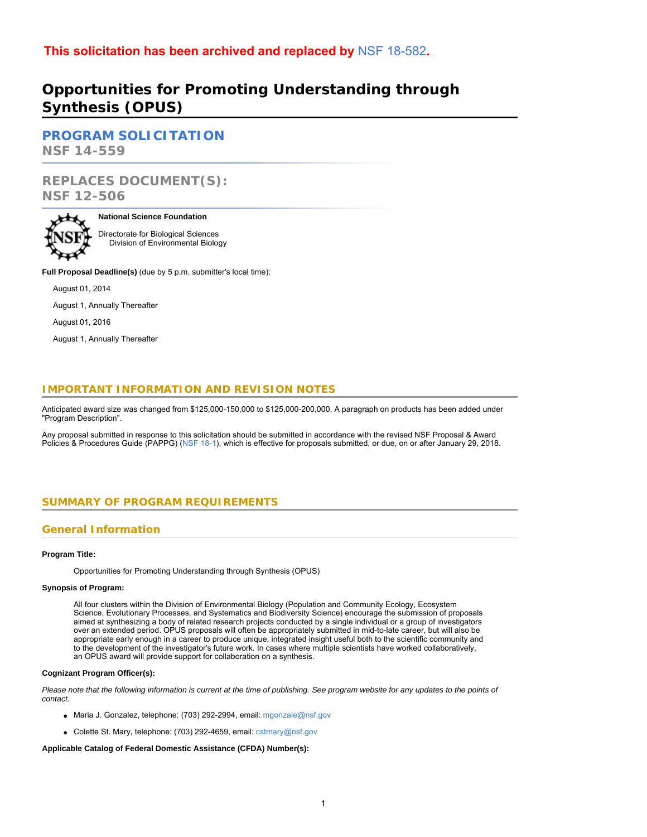# **This solicitation has been archived and replaced by** [NSF 18-582](https://www.nsf.gov/publications/pub_summ.jsp?ods_key=nsf18582)**.**

# **Opportunities for Promoting Understanding through Synthesis (OPUS)**

**[PROGRAM SOLICITATION](#page-2-0) NSF 14-559**

# **REPLACES DOCUMENT(S): NSF 12-506**



### **National Science Foundation**

Directorate for Biological Sciences Division of Environmental Biology

**Full Proposal Deadline(s)** (due by 5 p.m. submitter's local time):

August 01, 2014

August 1, Annually Thereafter

August 01, 2016

August 1, Annually Thereafter

## **IMPORTANT INFORMATION AND REVISION NOTES**

Anticipated award size was changed from \$125,000-150,000 to \$125,000-200,000. A paragraph on products has been added under "Program Description".

<span id="page-0-0"></span>Any proposal submitted in response to this solicitation should be submitted in accordance with the revised NSF Proposal & Award Policies & Procedures Guide (PAPPG) ([NSF 1](https://www.nsf.gov/publications/pub_summ.jsp?ods_key=nsf18001)8-1), which is effective for proposals submitted, or due, on or after January 29, 2018.

### **SUMMARY OF PROGRAM REQUIREMENTS**

### **General Information**

### **Program Title:**

Opportunities for Promoting Understanding through Synthesis (OPUS)

### **Synopsis of Program:**

All four clusters within the Division of Environmental Biology (Population and Community Ecology, Ecosystem Science, Evolutionary Processes, and Systematics and Biodiversity Science) encourage the submission of proposals aimed at synthesizing a body of related research projects conducted by a single individual or a group of investigators over an extended period. OPUS proposals will often be appropriately submitted in mid-to-late career, but will also be appropriate early enough in a career to produce unique, integrated insight useful both to the scientific community and to the development of the investigator's future work. In cases where multiple scientists have worked collaboratively, an OPUS award will provide support for collaboration on a synthesis.

### **Cognizant Program Officer(s):**

*Please note that the following information is current at the time of publishing. See program website for any updates to the points of contact.*

- Maria J. Gonzalez, telephone: (703) 292-2994, email: [mgonzale@nsf.gov](mailto:mgonzale@nsf.gov)
- Colette St. Mary, telephone: (703) 292-4659, email: [cstmary@nsf.gov](mailto:cstmary@nsf.gov)

### **Applicable Catalog of Federal Domestic Assistance (CFDA) Number(s):**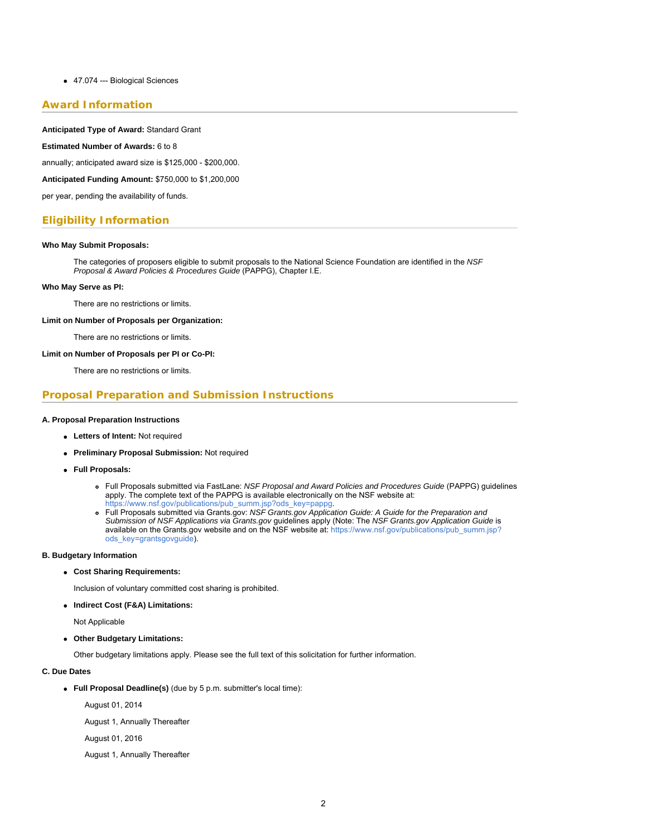### 47.074 --- Biological Sciences

### **Award Information**

#### **Anticipated Type of Award:** Standard Grant

#### **Estimated Number of Awards:** 6 to 8

annually; anticipated award size is \$125,000 - \$200,000.

**Anticipated Funding Amount:** \$750,000 to \$1,200,000

per year, pending the availability of funds.

### **Eligibility Information**

#### **Who May Submit Proposals:**

The categories of proposers eligible to submit proposals to the National Science Foundation are identified in the *NSF Proposal & Award Policies & Procedures Guide* (PAPPG), Chapter I.E.

#### **Who May Serve as PI:**

There are no restrictions or limits.

#### **Limit on Number of Proposals per Organization:**

There are no restrictions or limits.

### **Limit on Number of Proposals per PI or Co-PI:**

There are no restrictions or limits.

### **Proposal Preparation and Submission Instructions**

#### **A. Proposal Preparation Instructions**

- **Letters of Intent:** Not required
- **Preliminary Proposal Submission:** Not required
- **Full Proposals:**
	- Full Proposals submitted via FastLane: *NSF Proposal and Award Policies and Procedures Guide* (PAPPG) guidelines apply. The complete text of the PAPPG is available electronically on the NSF website at:
	- [https://www.nsf.gov/publications/pub\\_summ.jsp?ods\\_key=pappg.](https://www.nsf.gov/publications/pub_summ.jsp?ods_key=pappg)
	- Full Proposals submitted via Grants.gov: *NSF Grants.gov Application Guide: A Guide for the Preparation and Submission of NSF Applications via Grants.gov* guidelines apply (Note: The *NSF Grants.gov Application Guide* is available on the Grants.gov website and on the NSF website at: [https://www.nsf.gov/publications/pub\\_summ.jsp?](https://www.nsf.gov/publications/pub_summ.jsp?ods_key=grantsgovguide) [ods\\_key=grantsgovguide](https://www.nsf.gov/publications/pub_summ.jsp?ods_key=grantsgovguide)).

### **B. Budgetary Information**

**Cost Sharing Requirements:**

Inclusion of voluntary committed cost sharing is prohibited.

**Indirect Cost (F&A) Limitations:**

Not Applicable

**Other Budgetary Limitations:**

Other budgetary limitations apply. Please see the full text of this solicitation for further information.

#### **C. Due Dates**

**Full Proposal Deadline(s)** (due by 5 p.m. submitter's local time):

August 01, 2014

August 1, Annually Thereafter

August 01, 2016

August 1, Annually Thereafter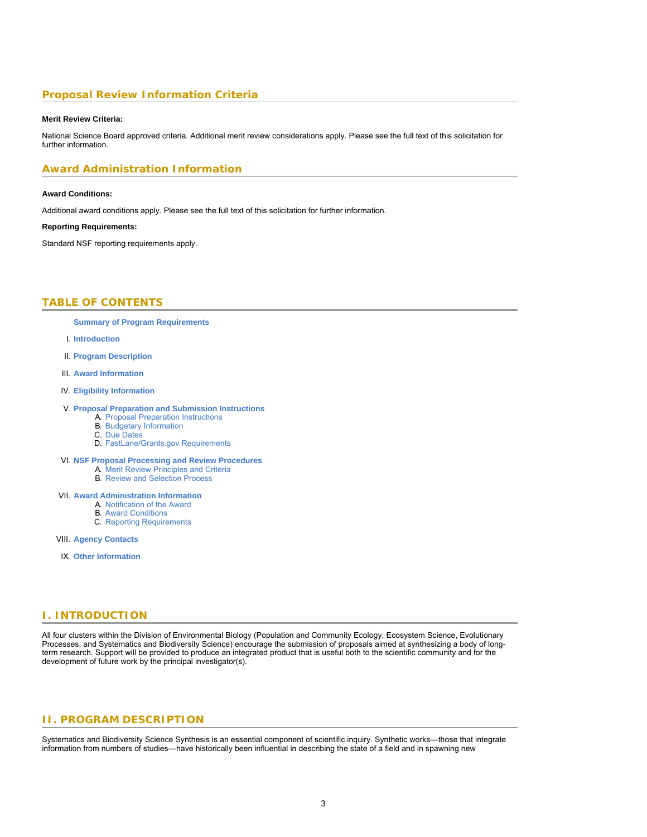### **Proposal Review Information Criteria**

#### **Merit Review Criteria:**

National Science Board approved criteria. Additional merit review considerations apply. Please see the full text of this solicitation for further information.

### **Award Administration Information**

#### **Award Conditions:**

Additional award conditions apply. Please see the full text of this solicitation for further information.

#### **Reporting Requirements:**

<span id="page-2-0"></span>Standard NSF reporting requirements apply.

### **TABLE OF CONTENTS**

- **[Summary of Program Requirements](#page-0-0)**
- I. **[Introduction](#page-2-1)**
- II. **[Program Description](#page-2-2)**
- III. **[Award Information](#page-3-0)**
- IV. **[Eligibility Information](#page-3-1)**

#### V. **[Proposal Preparation and Submission Instructions](#page-3-2)**

- A. [Proposal Preparation Instructions](#page-3-2)
- B. [Budgetary Information](#page-4-0)
- C. [Due Dates](#page-4-1)
- D. [FastLane/Grants.gov Requirements](#page-5-0)
- VI. **[NSF Proposal Processing and Review Procedures](#page-5-1)**
	- A. [Merit Review Principles and Criteria](#page-5-2)
	- B. [Review and Selection Process](#page-7-0)

#### VII. **[Award Administration Information](#page-7-1)**

- A. [Notification of the Award](#page-7-2)
- B. [Award Conditions](#page-7-3)
- C. [Reporting Requirements](#page-8-0)
- <span id="page-2-1"></span>VIII. **[Agency Contacts](#page-8-1)**
- IX. **[Other Information](#page-8-2)**

### **I. INTRODUCTION**

<span id="page-2-2"></span>All four clusters within the Division of Environmental Biology (Population and Community Ecology, Ecosystem Science, Evolutionary Processes, and Systematics and Biodiversity Science) encourage the submission of proposals aimed at synthesizing a body of longterm research. Support will be provided to produce an integrated product that is useful both to the scientific community and for the development of future work by the principal investigator(s).

### **II. PROGRAM DESCRIPTION**

Systematics and Biodiversity Science Synthesis is an essential component of scientific inquiry. Synthetic works—those that integrate information from numbers of studies—have historically been influential in describing the state of a field and in spawning new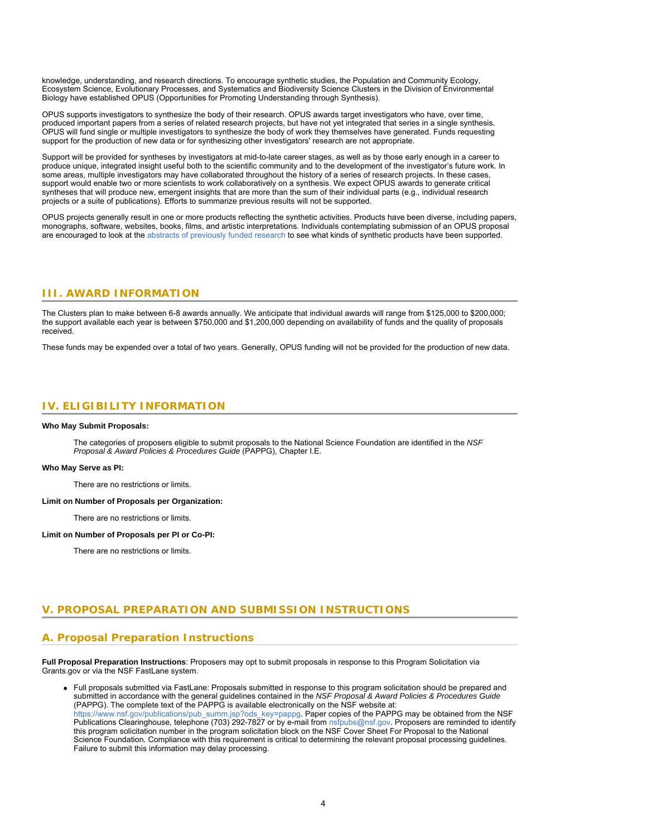knowledge, understanding, and research directions. To encourage synthetic studies, the Population and Community Ecology, Ecosystem Science, Evolutionary Processes, and Systematics and Biodiversity Science Clusters in the Division of Environmental Biology have established OPUS (Opportunities for Promoting Understanding through Synthesis).

OPUS supports investigators to synthesize the body of their research. OPUS awards target investigators who have, over time, produced important papers from a series of related research projects, but have not yet integrated that series in a single synthesis. OPUS will fund single or multiple investigators to synthesize the body of work they themselves have generated. Funds requesting support for the production of new data or for synthesizing other investigators' research are not appropriate.

Support will be provided for syntheses by investigators at mid-to-late career stages, as well as by those early enough in a career to produce unique, integrated insight useful both to the scientific community and to the development of the investigator's future work. In some areas, multiple investigators may have collaborated throughout the history of a series of research projects. In these cases, support would enable two or more scientists to work collaboratively on a synthesis. We expect OPUS awards to generate critical syntheses that will produce new, emergent insights that are more than the sum of their individual parts (e.g., individual research projects or a suite of publications). Efforts to summarize previous results will not be supported.

<span id="page-3-0"></span>OPUS projects generally result in one or more products reflecting the synthetic activities. Products have been diverse, including papers, monographs, software, websites, books, films, and artistic interpretations. Individuals contemplating submission of an OPUS proposal are encouraged to look at the [abstracts of previously funded research](https://www.nsf.gov/awardsearch/advancedSearchResult?ProgOrganization=08000000&BooleanElement=ANY&ProgRefCode=7565&BooleanRef=ANY&ActiveAwards=true&) to see what kinds of synthetic products have been supported.

### **III. AWARD INFORMATION**

The Clusters plan to make between 6-8 awards annually. We anticipate that individual awards will range from \$125,000 to \$200,000; the support available each year is between \$750,000 and \$1,200,000 depending on availability of funds and the quality of proposals received.

<span id="page-3-1"></span>These funds may be expended over a total of two years. Generally, OPUS funding will not be provided for the production of new data.

### **IV. ELIGIBILITY INFORMATION**

#### **Who May Submit Proposals:**

The categories of proposers eligible to submit proposals to the National Science Foundation are identified in the *NSF Proposal & Award Policies & Procedures Guide* (PAPPG), Chapter I.E.

#### **Who May Serve as PI:**

There are no restrictions or limits.

#### **Limit on Number of Proposals per Organization:**

There are no restrictions or limits.

#### <span id="page-3-2"></span>**Limit on Number of Proposals per PI or Co-PI:**

There are no restrictions or limits.

### **V. PROPOSAL PREPARATION AND SUBMISSION INSTRUCTIONS**

### **A. Proposal Preparation Instructions**

**Full Proposal Preparation Instructions**: Proposers may opt to submit proposals in response to this Program Solicitation via Grants.gov or via the NSF FastLane system.

Full proposals submitted via FastLane: Proposals submitted in response to this program solicitation should be prepared and submitted in accordance with the general guidelines contained in the *NSF Proposal & Award Policies & Procedures Guide* (PAPPG). The complete text of the PAPPG is available electronically on the NSF website at: [https://www.nsf.gov/publications/pub\\_summ.jsp?ods\\_key=pappg.](https://www.nsf.gov/publications/pub_summ.jsp?ods_key=pappg) Paper copies of the PAPPG may be obtained from the NSF Publications Clearinghouse, telephone (703) 292-7827 or by e-mail from [nsfpubs@nsf.gov](mailto:nsfpubs@nsf.gov). Proposers are reminded to identify this program solicitation number in the program solicitation block on the NSF Cover Sheet For Proposal to the National Science Foundation. Compliance with this requirement is critical to determining the relevant proposal processing guidelines. Failure to submit this information may delay processing.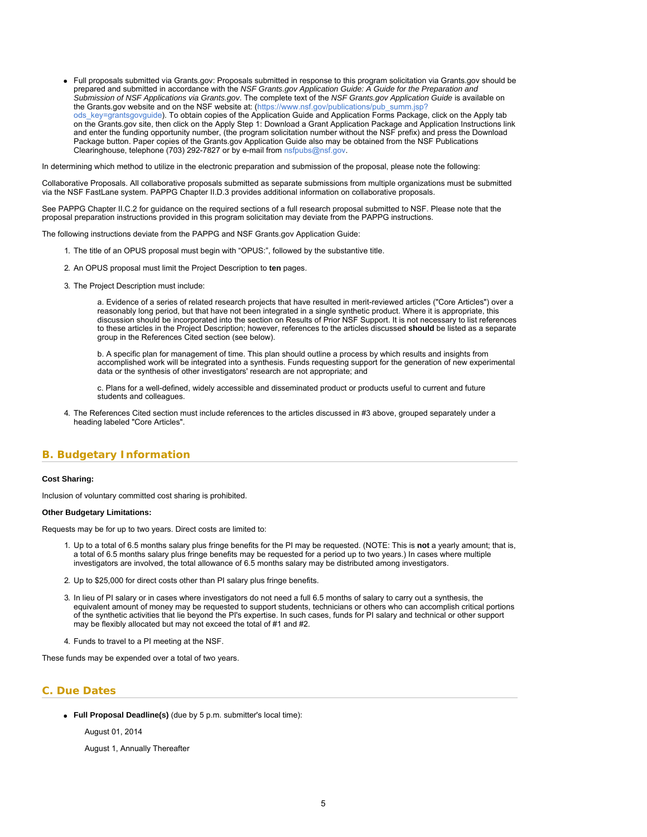<span id="page-4-1"></span>Full proposals submitted via Grants.gov: Proposals submitted in response to this program solicitation via Grants.gov should be prepared and submitted in accordance with the *NSF Grants.gov Application Guide: A Guide for the Preparation and Submission of NSF Applications via Grants.gov*. The complete text of the *NSF Grants.gov Application Guide* is available on the Grants.gov website and on the NSF website at: [\(https://www.nsf.gov/publications/pub\\_summ.jsp?](https://www.nsf.gov/publications/pub_summ.jsp?ods_key=grantsgovguide) [ods\\_key=grantsgovguide](https://www.nsf.gov/publications/pub_summ.jsp?ods_key=grantsgovguide)). To obtain copies of the Application Guide and Application Forms Package, click on the Apply tab on the Grants.gov site, then click on the Apply Step 1: Download a Grant Application Package and Application Instructions link and enter the funding opportunity number, (the program solicitation number without the NSF prefix) and press the Download Package button. Paper copies of the Grants.gov Application Guide also may be obtained from the NSF Publications Clearinghouse, telephone (703) 292-7827 or by e-mail from [nsfpubs@nsf.gov](mailto:nsfpubs@nsf.gov).

In determining which method to utilize in the electronic preparation and submission of the proposal, please note the following:

Collaborative Proposals. All collaborative proposals submitted as separate submissions from multiple organizations must be submitted via the NSF FastLane system. PAPPG Chapter II.D.3 provides additional information on collaborative proposals.

See PAPPG Chapter II.C.2 for guidance on the required sections of a full research proposal submitted to NSF. Please note that the proposal preparation instructions provided in this program solicitation may deviate from the PAPPG instructions.

The following instructions deviate from the PAPPG and NSF Grants.gov Application Guide:

- 1. The title of an OPUS proposal must begin with "OPUS:", followed by the substantive title.
- 2. An OPUS proposal must limit the Project Description to **ten** pages.
- 3. The Project Description must include:

a. Evidence of a series of related research projects that have resulted in merit-reviewed articles ("Core Articles") over a reasonably long period, but that have not been integrated in a single synthetic product. Where it is appropriate, this discussion should be incorporated into the section on Results of Prior NSF Support. It is not necessary to list references to these articles in the Project Description; however, references to the articles discussed **should** be listed as a separate group in the References Cited section (see below).

b. A specific plan for management of time. This plan should outline a process by which results and insights from accomplished work will be integrated into a synthesis. Funds requesting support for the generation of new experimental data or the synthesis of other investigators' research are not appropriate; and

c. Plans for a well-defined, widely accessible and disseminated product or products useful to current and future students and colleagues.

4. The References Cited section must include references to the articles discussed in #3 above, grouped separately under a heading labeled "Core Articles".

### <span id="page-4-0"></span>**B. Budgetary Information**

#### **Cost Sharing:**

Inclusion of voluntary committed cost sharing is prohibited.

#### **Other Budgetary Limitations:**

Requests may be for up to two years. Direct costs are limited to:

- 1. Up to a total of 6.5 months salary plus fringe benefits for the PI may be requested. (NOTE: This is **not** a yearly amount; that is, a total of 6.5 months salary plus fringe benefits may be requested for a period up to two years.) In cases where multiple investigators are involved, the total allowance of 6.5 months salary may be distributed among investigators.
- 2. Up to \$25,000 for direct costs other than PI salary plus fringe benefits.
- 3. In lieu of PI salary or in cases where investigators do not need a full 6.5 months of salary to carry out a synthesis, the equivalent amount of money may be requested to support students, technicians or others who can accomplish critical portions of the synthetic activities that lie beyond the PI's expertise. In such cases, funds for PI salary and technical or other support may be flexibly allocated but may not exceed the total of #1 and #2.
- 4. Funds to travel to a PI meeting at the NSF.

These funds may be expended over a total of two years.

### **C. Due Dates**

**Full Proposal Deadline(s)** (due by 5 p.m. submitter's local time):

August 01, 2014

August 1, Annually Thereafter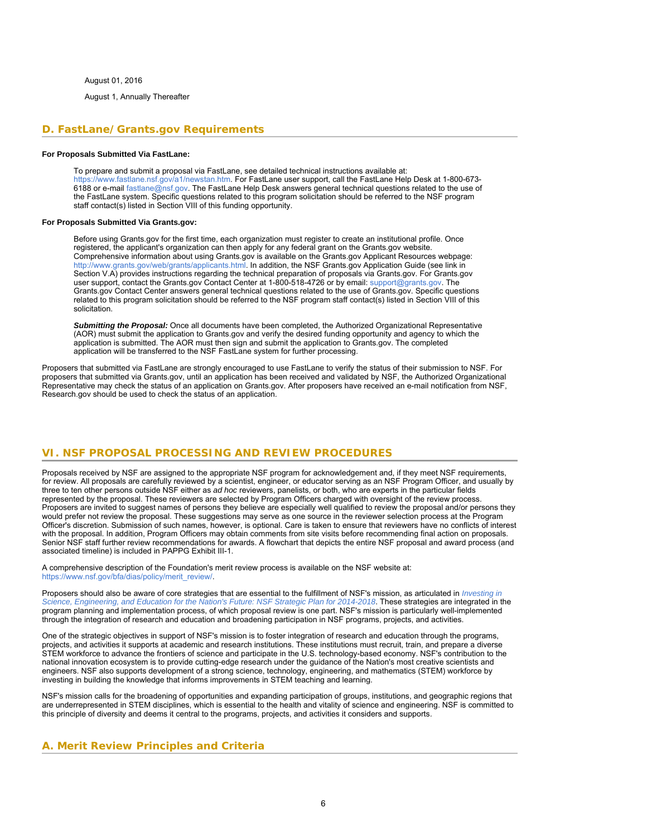August 01, 2016

August 1, Annually Thereafter

### <span id="page-5-0"></span>**D. FastLane/Grants.gov Requirements**

#### **For Proposals Submitted Via FastLane:**

To prepare and submit a proposal via FastLane, see detailed technical instructions available at: <https://www.fastlane.nsf.gov/a1/newstan.htm>. For FastLane user support, call the FastLane Help Desk at 1-800-673- 6188 or e-mail [fastlane@nsf.gov](mailto:fastlane@nsf.gov). The FastLane Help Desk answers general technical questions related to the use of the FastLane system. Specific questions related to this program solicitation should be referred to the NSF program staff contact(s) listed in Section VIII of this funding opportunity.

#### **For Proposals Submitted Via Grants.gov:**

Before using Grants.gov for the first time, each organization must register to create an institutional profile. Once registered, the applicant's organization can then apply for any federal grant on the Grants.gov website. Comprehensive information about using Grants.gov is available on the Grants.gov Applicant Resources webpage: [http://www.grants.gov/web/grants/applicants.html.](http://www.grants.gov/web/grants/applicants.html) In addition, the NSF Grants.gov Application Guide (see link in Section V.A) provides instructions regarding the technical preparation of proposals via Grants.gov. For Grants.gov user support, contact the Grants.gov Contact Center at 1-800-518-4726 or by email: [support@grants.gov.](mailto:support@grants.gov) The Grants.gov Contact Center answers general technical questions related to the use of Grants.gov. Specific questions related to this program solicitation should be referred to the NSF program staff contact(s) listed in Section VIII of this solicitation.

*Submitting the Proposal:* Once all documents have been completed, the Authorized Organizational Representative (AOR) must submit the application to Grants.gov and verify the desired funding opportunity and agency to which the application is submitted. The AOR must then sign and submit the application to Grants.gov. The completed application will be transferred to the NSF FastLane system for further processing.

<span id="page-5-1"></span>Proposers that submitted via FastLane are strongly encouraged to use FastLane to verify the status of their submission to NSF. For proposers that submitted via Grants.gov, until an application has been received and validated by NSF, the Authorized Organizational Representative may check the status of an application on Grants.gov. After proposers have received an e-mail notification from NSF, Research.gov should be used to check the status of an application.

### **VI. NSF PROPOSAL PROCESSING AND REVIEW PROCEDURES**

Proposals received by NSF are assigned to the appropriate NSF program for acknowledgement and, if they meet NSF requirements, for review. All proposals are carefully reviewed by a scientist, engineer, or educator serving as an NSF Program Officer, and usually by three to ten other persons outside NSF either as *ad hoc* reviewers, panelists, or both, who are experts in the particular fields represented by the proposal. These reviewers are selected by Program Officers charged with oversight of the review process. Proposers are invited to suggest names of persons they believe are especially well qualified to review the proposal and/or persons they would prefer not review the proposal. These suggestions may serve as one source in the reviewer selection process at the Program Officer's discretion. Submission of such names, however, is optional. Care is taken to ensure that reviewers have no conflicts of interest with the proposal. In addition, Program Officers may obtain comments from site visits before recommending final action on proposals. Senior NSF staff further review recommendations for awards. A flowchart that depicts the entire NSF proposal and award process (and associated timeline) is included in PAPPG Exhibit III-1.

A comprehensive description of the Foundation's merit review process is available on the NSF website at: [https://www.nsf.gov/bfa/dias/policy/merit\\_review/](https://www.nsf.gov/bfa/dias/policy/merit_review/).

Proposers should also be aware of core strategies that are essential to the fulfillment of NSF's mission, as articulated in *[Investing in](https://www.nsf.gov/publications/pub_summ.jsp?ods_key=nsf14043) [Science, Engineering, and Education for the Nation's Future: NSF Strategic Plan for 2014-2018](https://www.nsf.gov/publications/pub_summ.jsp?ods_key=nsf14043)*. These strategies are integrated in the program planning and implementation process, of which proposal review is one part. NSF's mission is particularly well-implemented through the integration of research and education and broadening participation in NSF programs, projects, and activities.

One of the strategic objectives in support of NSF's mission is to foster integration of research and education through the programs, projects, and activities it supports at academic and research institutions. These institutions must recruit, train, and prepare a diverse STEM workforce to advance the frontiers of science and participate in the U.S. technology-based economy. NSF's contribution to the national innovation ecosystem is to provide cutting-edge research under the guidance of the Nation's most creative scientists and engineers. NSF also supports development of a strong science, technology, engineering, and mathematics (STEM) workforce by investing in building the knowledge that informs improvements in STEM teaching and learning.

<span id="page-5-2"></span>NSF's mission calls for the broadening of opportunities and expanding participation of groups, institutions, and geographic regions that are underrepresented in STEM disciplines, which is essential to the health and vitality of science and engineering. NSF is committed to this principle of diversity and deems it central to the programs, projects, and activities it considers and supports.

### **A. Merit Review Principles and Criteria**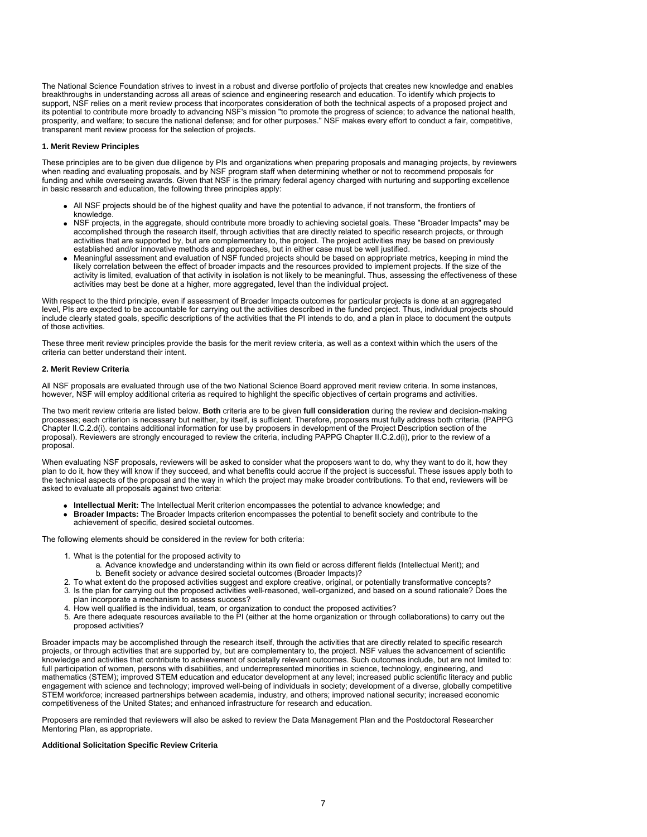The National Science Foundation strives to invest in a robust and diverse portfolio of projects that creates new knowledge and enables breakthroughs in understanding across all areas of science and engineering research and education. To identify which projects to support, NSF relies on a merit review process that incorporates consideration of both the technical aspects of a proposed project and its potential to contribute more broadly to advancing NSF's mission "to promote the progress of science; to advance the national health, prosperity, and welfare; to secure the national defense; and for other purposes." NSF makes every effort to conduct a fair, competitive, transparent merit review process for the selection of projects.

#### **1. Merit Review Principles**

These principles are to be given due diligence by PIs and organizations when preparing proposals and managing projects, by reviewers when reading and evaluating proposals, and by NSF program staff when determining whether or not to recommend proposals for funding and while overseeing awards. Given that NSF is the primary federal agency charged with nurturing and supporting excellence in basic research and education, the following three principles apply:

- All NSF projects should be of the highest quality and have the potential to advance, if not transform, the frontiers of knowledge.
- NSF projects, in the aggregate, should contribute more broadly to achieving societal goals. These "Broader Impacts" may be accomplished through the research itself, through activities that are directly related to specific research projects, or through activities that are supported by, but are complementary to, the project. The project activities may be based on previously established and/or innovative methods and approaches, but in either case must be well justified.
- Meaningful assessment and evaluation of NSF funded projects should be based on appropriate metrics, keeping in mind the likely correlation between the effect of broader impacts and the resources provided to implement projects. If the size of the activity is limited, evaluation of that activity in isolation is not likely to be meaningful. Thus, assessing the effectiveness of these activities may best be done at a higher, more aggregated, level than the individual project.

With respect to the third principle, even if assessment of Broader Impacts outcomes for particular projects is done at an aggregated level, PIs are expected to be accountable for carrying out the activities described in the funded project. Thus, individual projects should include clearly stated goals, specific descriptions of the activities that the PI intends to do, and a plan in place to document the outputs of those activities.

These three merit review principles provide the basis for the merit review criteria, as well as a context within which the users of the criteria can better understand their intent.

#### **2. Merit Review Criteria**

All NSF proposals are evaluated through use of the two National Science Board approved merit review criteria. In some instances, however, NSF will employ additional criteria as required to highlight the specific objectives of certain programs and activities.

The two merit review criteria are listed below. **Both** criteria are to be given **full consideration** during the review and decision-making processes; each criterion is necessary but neither, by itself, is sufficient. Therefore, proposers must fully address both criteria. (PAPPG Chapter II.C.2.d(i). contains additional information for use by proposers in development of the Project Description section of the proposal). Reviewers are strongly encouraged to review the criteria, including PAPPG Chapter II.C.2.d(i), prior to the review of a proposal.

When evaluating NSF proposals, reviewers will be asked to consider what the proposers want to do, why they want to do it, how they plan to do it, how they will know if they succeed, and what benefits could accrue if the project is successful. These issues apply both to the technical aspects of the proposal and the way in which the project may make broader contributions. To that end, reviewers will be asked to evaluate all proposals against two criteria:

- **Intellectual Merit:** The Intellectual Merit criterion encompasses the potential to advance knowledge; and
- **Broader Impacts:** The Broader Impacts criterion encompasses the potential to benefit society and contribute to the achievement of specific, desired societal outcomes.

The following elements should be considered in the review for both criteria:

- 1. What is the potential for the proposed activity to
	- a. Advance knowledge and understanding within its own field or across different fields (Intellectual Merit); and b. Benefit society or advance desired societal outcomes (Broader Impacts)?
- 2. To what extent do the proposed activities suggest and explore creative, original, or potentially transformative concepts?
- 3. Is the plan for carrying out the proposed activities well-reasoned, well-organized, and based on a sound rationale? Does the plan incorporate a mechanism to assess success?
- 4. How well qualified is the individual, team, or organization to conduct the proposed activities?
- 5. Are there adequate resources available to the PI (either at the home organization or through collaborations) to carry out the proposed activities?

Broader impacts may be accomplished through the research itself, through the activities that are directly related to specific research projects, or through activities that are supported by, but are complementary to, the project. NSF values the advancement of scientific knowledge and activities that contribute to achievement of societally relevant outcomes. Such outcomes include, but are not limited to: full participation of women, persons with disabilities, and underrepresented minorities in science, technology, engineering, and mathematics (STEM); improved STEM education and educator development at any level; increased public scientific literacy and public engagement with science and technology; improved well-being of individuals in society; development of a diverse, globally competitive STEM workforce; increased partnerships between academia, industry, and others; improved national security; increased economic competitiveness of the United States; and enhanced infrastructure for research and education.

Proposers are reminded that reviewers will also be asked to review the Data Management Plan and the Postdoctoral Researcher Mentoring Plan, as appropriate.

### **Additional Solicitation Specific Review Criteria**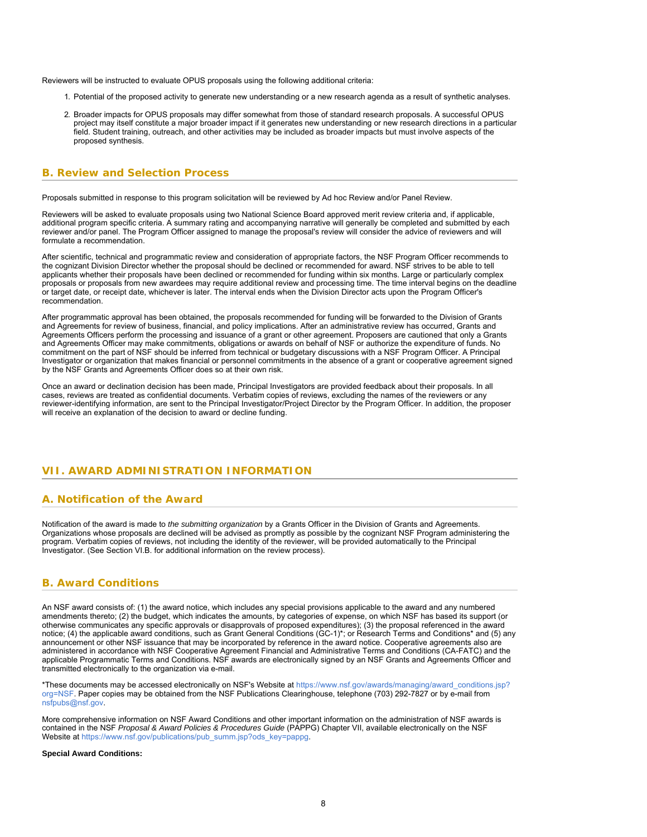Reviewers will be instructed to evaluate OPUS proposals using the following additional criteria:

- 1. Potential of the proposed activity to generate new understanding or a new research agenda as a result of synthetic analyses.
- 2. Broader impacts for OPUS proposals may differ somewhat from those of standard research proposals. A successful OPUS project may itself constitute a major broader impact if it generates new understanding or new research directions in a particular field. Student training, outreach, and other activities may be included as broader impacts but must involve aspects of the proposed synthesis.

### <span id="page-7-0"></span>**B. Review and Selection Process**

Proposals submitted in response to this program solicitation will be reviewed by Ad hoc Review and/or Panel Review.

Reviewers will be asked to evaluate proposals using two National Science Board approved merit review criteria and, if applicable, additional program specific criteria. A summary rating and accompanying narrative will generally be completed and submitted by each reviewer and/or panel. The Program Officer assigned to manage the proposal's review will consider the advice of reviewers and will formulate a recommendation.

After scientific, technical and programmatic review and consideration of appropriate factors, the NSF Program Officer recommends to the cognizant Division Director whether the proposal should be declined or recommended for award. NSF strives to be able to tell applicants whether their proposals have been declined or recommended for funding within six months. Large or particularly complex proposals or proposals from new awardees may require additional review and processing time. The time interval begins on the deadline or target date, or receipt date, whichever is later. The interval ends when the Division Director acts upon the Program Officer's recommendation.

After programmatic approval has been obtained, the proposals recommended for funding will be forwarded to the Division of Grants and Agreements for review of business, financial, and policy implications. After an administrative review has occurred, Grants and Agreements Officers perform the processing and issuance of a grant or other agreement. Proposers are cautioned that only a Grants and Agreements Officer may make commitments, obligations or awards on behalf of NSF or authorize the expenditure of funds. No commitment on the part of NSF should be inferred from technical or budgetary discussions with a NSF Program Officer. A Principal Investigator or organization that makes financial or personnel commitments in the absence of a grant or cooperative agreement signed by the NSF Grants and Agreements Officer does so at their own risk.

<span id="page-7-1"></span>Once an award or declination decision has been made, Principal Investigators are provided feedback about their proposals. In all cases, reviews are treated as confidential documents. Verbatim copies of reviews, excluding the names of the reviewers or any reviewer-identifying information, are sent to the Principal Investigator/Project Director by the Program Officer. In addition, the proposer will receive an explanation of the decision to award or decline funding.

### <span id="page-7-2"></span>**VII. AWARD ADMINISTRATION INFORMATION**

### **A. Notification of the Award**

Notification of the award is made to *the submitting organization* by a Grants Officer in the Division of Grants and Agreements. Organizations whose proposals are declined will be advised as promptly as possible by the cognizant NSF Program administering the program. Verbatim copies of reviews, not including the identity of the reviewer, will be provided automatically to the Principal Investigator. (See Section VI.B. for additional information on the review process).

### <span id="page-7-3"></span>**B. Award Conditions**

An NSF award consists of: (1) the award notice, which includes any special provisions applicable to the award and any numbered amendments thereto; (2) the budget, which indicates the amounts, by categories of expense, on which NSF has based its support (or otherwise communicates any specific approvals or disapprovals of proposed expenditures); (3) the proposal referenced in the award notice; (4) the applicable award conditions, such as Grant General Conditions (GC-1)\*; or Research Terms and Conditions\* and (5) any announcement or other NSF issuance that may be incorporated by reference in the award notice. Cooperative agreements also are administered in accordance with NSF Cooperative Agreement Financial and Administrative Terms and Conditions (CA-FATC) and the applicable Programmatic Terms and Conditions. NSF awards are electronically signed by an NSF Grants and Agreements Officer and transmitted electronically to the organization via e-mail.

\*These documents may be accessed electronically on NSF's Website at [https://www.nsf.gov/awards/managing/award\\_conditions.jsp?](https://www.nsf.gov/awards/managing/award_conditions.jsp?org=NSF) [org=NSF.](https://www.nsf.gov/awards/managing/award_conditions.jsp?org=NSF) Paper copies may be obtained from the NSF Publications Clearinghouse, telephone (703) 292-7827 or by e-mail from [nsfpubs@nsf.gov.](mailto:nsfpubs@nsf.gov)

More comprehensive information on NSF Award Conditions and other important information on the administration of NSF awards is contained in the NSF *Proposal & Award Policies & Procedures Guide* (PAPPG) Chapter VII, available electronically on the NSF Website at [https://www.nsf.gov/publications/pub\\_summ.jsp?ods\\_key=pappg](https://www.nsf.gov/publications/pub_summ.jsp?ods_key=pappg).

### **Special Award Conditions:**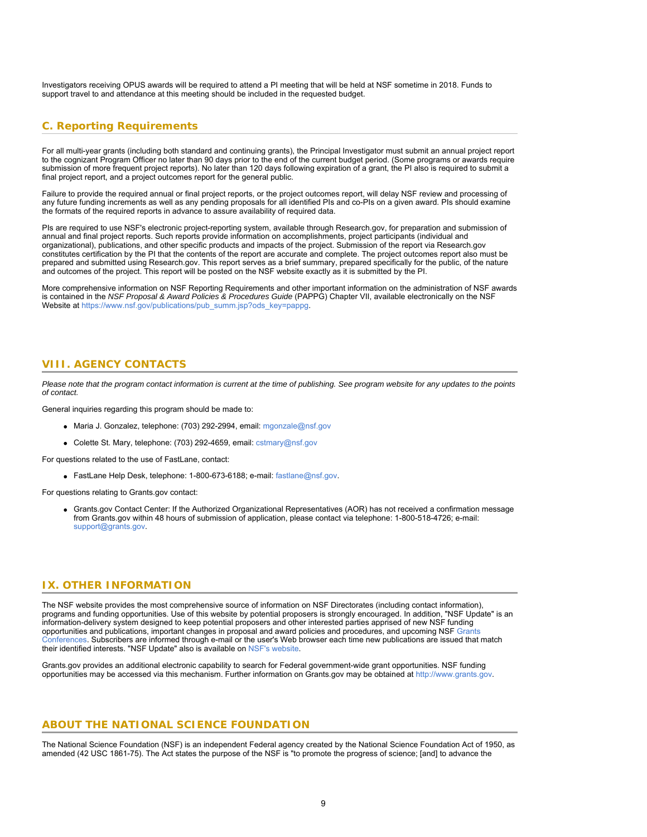<span id="page-8-0"></span>Investigators receiving OPUS awards will be required to attend a PI meeting that will be held at NSF sometime in 2018. Funds to support travel to and attendance at this meeting should be included in the requested budget.

### **C. Reporting Requirements**

For all multi-year grants (including both standard and continuing grants), the Principal Investigator must submit an annual project report to the cognizant Program Officer no later than 90 days prior to the end of the current budget period. (Some programs or awards require submission of more frequent project reports). No later than 120 days following expiration of a grant, the PI also is required to submit a final project report, and a project outcomes report for the general public.

Failure to provide the required annual or final project reports, or the project outcomes report, will delay NSF review and processing of any future funding increments as well as any pending proposals for all identified PIs and co-PIs on a given award. PIs should examine the formats of the required reports in advance to assure availability of required data.

PIs are required to use NSF's electronic project-reporting system, available through Research.gov, for preparation and submission of annual and final project reports. Such reports provide information on accomplishments, project participants (individual and organizational), publications, and other specific products and impacts of the project. Submission of the report via Research.gov constitutes certification by the PI that the contents of the report are accurate and complete. The project outcomes report also must be prepared and submitted using Research.gov. This report serves as a brief summary, prepared specifically for the public, of the nature and outcomes of the project. This report will be posted on the NSF website exactly as it is submitted by the PI.

<span id="page-8-1"></span>More comprehensive information on NSF Reporting Requirements and other important information on the administration of NSF awards is contained in the *NSF Proposal & Award Policies & Procedures Guide* (PAPPG) Chapter VII, available electronically on the NSF Website at [https://www.nsf.gov/publications/pub\\_summ.jsp?ods\\_key=pappg](https://www.nsf.gov/publications/pub_summ.jsp?ods_key=pappg).

### **VIII. AGENCY CONTACTS**

*Please note that the program contact information is current at the time of publishing. See program website for any updates to the points of contact.*

General inquiries regarding this program should be made to:

- Maria J. Gonzalez, telephone: (703) 292-2994, email: [mgonzale@nsf.gov](mailto:mgonzale@nsf.gov)
- Colette St. Mary, telephone: (703) 292-4659, email: [cstmary@nsf.gov](mailto:cstmary@nsf.gov)

For questions related to the use of FastLane, contact:

FastLane Help Desk, telephone: 1-800-673-6188; e-mail: [fastlane@nsf.gov](mailto:fastlane@nsf.gov).

<span id="page-8-2"></span>For questions relating to Grants.gov contact:

Grants.gov Contact Center: If the Authorized Organizational Representatives (AOR) has not received a confirmation message from Grants.gov within 48 hours of submission of application, please contact via telephone: 1-800-518-4726; e-mail: [support@grants.gov.](mailto:support@grants.gov)

### **IX. OTHER INFORMATION**

The NSF website provides the most comprehensive source of information on NSF Directorates (including contact information), programs and funding opportunities. Use of this website by potential proposers is strongly encouraged. In addition, "NSF Update" is an information-delivery system designed to keep potential proposers and other interested parties apprised of new NSF funding opportunities and publications, important changes in proposal and award policies and procedures, and upcoming NSF [Grants](https://www.nsf.gov/bfa/dias/policy/outreach.jsp) [Conferences](https://www.nsf.gov/bfa/dias/policy/outreach.jsp). Subscribers are informed through e-mail or the user's Web browser each time new publications are issued that match their identified interests. "NSF Update" also is available on [NSF's website](https://www.nsf.gov/cgi-bin/goodbye?https://public.govdelivery.com/accounts/USNSF/subscriber/new?topic_id=USNSF_179).

Grants.gov provides an additional electronic capability to search for Federal government-wide grant opportunities. NSF funding opportunities may be accessed via this mechanism. Further information on Grants.gov may be obtained at [http://www.grants.gov](http://www.grants.gov/).

### **ABOUT THE NATIONAL SCIENCE FOUNDATION**

The National Science Foundation (NSF) is an independent Federal agency created by the National Science Foundation Act of 1950, as amended (42 USC 1861-75). The Act states the purpose of the NSF is "to promote the progress of science; [and] to advance the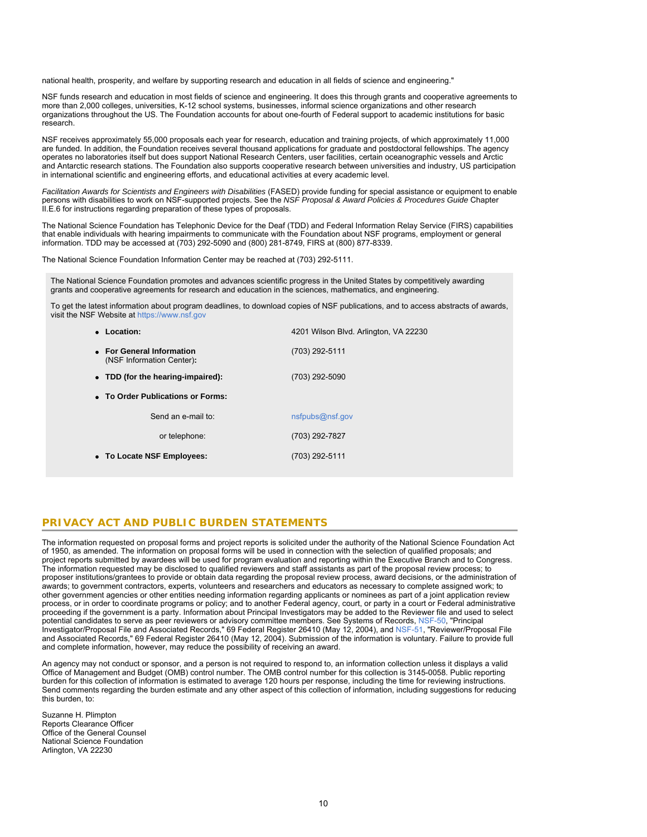national health, prosperity, and welfare by supporting research and education in all fields of science and engineering."

NSF funds research and education in most fields of science and engineering. It does this through grants and cooperative agreements to more than 2,000 colleges, universities, K-12 school systems, businesses, informal science organizations and other research organizations throughout the US. The Foundation accounts for about one-fourth of Federal support to academic institutions for basic research.

NSF receives approximately 55,000 proposals each year for research, education and training projects, of which approximately 11,000 are funded. In addition, the Foundation receives several thousand applications for graduate and postdoctoral fellowships. The agency operates no laboratories itself but does support National Research Centers, user facilities, certain oceanographic vessels and Arctic and Antarctic research stations. The Foundation also supports cooperative research between universities and industry, US participation in international scientific and engineering efforts, and educational activities at every academic level.

*Facilitation Awards for Scientists and Engineers with Disabilities* (FASED) provide funding for special assistance or equipment to enable persons with disabilities to work on NSF-supported projects. See the *NSF Proposal & Award Policies & Procedures Guide* Chapter II.E.6 for instructions regarding preparation of these types of proposals.

The National Science Foundation has Telephonic Device for the Deaf (TDD) and Federal Information Relay Service (FIRS) capabilities that enable individuals with hearing impairments to communicate with the Foundation about NSF programs, employment or general information. TDD may be accessed at (703) 292-5090 and (800) 281-8749, FIRS at (800) 877-8339.

The National Science Foundation Information Center may be reached at (703) 292-5111.

The National Science Foundation promotes and advances scientific progress in the United States by competitively awarding grants and cooperative agreements for research and education in the sciences, mathematics, and engineering.

To get the latest information about program deadlines, to download copies of NSF publications, and to access abstracts of awards, visit the NSF Website at [https://www.nsf.gov](file:///R|/Accessworkspace/pubs/2014/nsf14559/s//www.nsf.gov/)

| Location:                                              | 4201 Wilson Blvd. Arlington, VA 22230 |  |  |  |  |  |
|--------------------------------------------------------|---------------------------------------|--|--|--|--|--|
| • For General Information<br>(NSF Information Center): | (703) 292-5111                        |  |  |  |  |  |
| • TDD (for the hearing-impaired):                      | (703) 292-5090                        |  |  |  |  |  |
| • To Order Publications or Forms:                      |                                       |  |  |  |  |  |
| Send an e-mail to:                                     | nsfpubs@nsf.gov                       |  |  |  |  |  |
| or telephone:                                          | (703) 292-7827                        |  |  |  |  |  |
| • To Locate NSF Employees:                             | (703) 292-5111                        |  |  |  |  |  |

### **PRIVACY ACT AND PUBLIC BURDEN STATEMENTS**

The information requested on proposal forms and project reports is solicited under the authority of the National Science Foundation Act of 1950, as amended. The information on proposal forms will be used in connection with the selection of qualified proposals; and project reports submitted by awardees will be used for program evaluation and reporting within the Executive Branch and to Congress. The information requested may be disclosed to qualified reviewers and staff assistants as part of the proposal review process; to proposer institutions/grantees to provide or obtain data regarding the proposal review process, award decisions, or the administration of awards; to government contractors, experts, volunteers and researchers and educators as necessary to complete assigned work; to other government agencies or other entities needing information regarding applicants or nominees as part of a joint application review process, or in order to coordinate programs or policy; and to another Federal agency, court, or party in a court or Federal administrative proceeding if the government is a party. Information about Principal Investigators may be added to the Reviewer file and used to select potential candidates to serve as peer reviewers or advisory committee members. See Systems of Records, [NSF-50,](https://www.nsf.gov/policies/SOR_PA_NSF-50_Principal_Investigator_Proposal_File.pdf) "Principal Investigator/Proposal File and Associated Records," 69 Federal Register 26410 (May 12, 2004), and [NSF-51](https://www.nsf.gov/policies/SOR_PA_NSF-51_Reviewer_Proposal_File.pdf), "Reviewer/Proposal File and Associated Records," 69 Federal Register 26410 (May 12, 2004). Submission of the information is voluntary. Failure to provide full and complete information, however, may reduce the possibility of receiving an award.

An agency may not conduct or sponsor, and a person is not required to respond to, an information collection unless it displays a valid Office of Management and Budget (OMB) control number. The OMB control number for this collection is 3145-0058. Public reporting burden for this collection of information is estimated to average 120 hours per response, including the time for reviewing instructions. Send comments regarding the burden estimate and any other aspect of this collection of information, including suggestions for reducing this burden, to:

Suzanne H. Plimpton Reports Clearance Officer Office of the General Counsel National Science Foundation Arlington, VA 22230